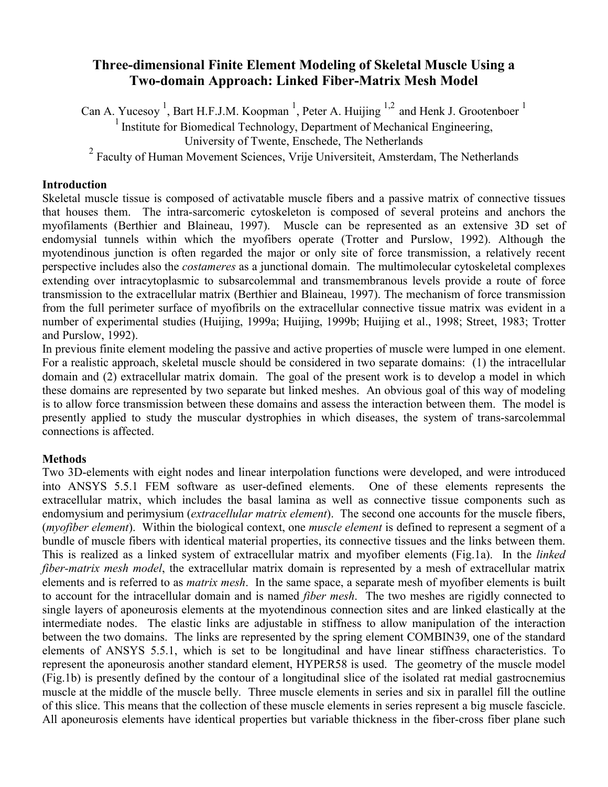# **Three-dimensional Finite Element Modeling of Skeletal Muscle Using a Two-domain Approach: Linked Fiber-Matrix Mesh Model**

Can A. Yucesoy<sup>1</sup>, Bart H.F.J.M. Koopman<sup>1</sup>, Peter A. Huijing <sup>1,2</sup> and Henk J. Grootenboer<sup>1</sup>

<sup>1</sup> Institute for Biomedical Technology, Department of Mechanical Engineering,

University of Twente, Enschede, The Netherlands

<sup>2</sup> Faculty of Human Movement Sciences, Vrije Universiteit, Amsterdam, The Netherlands

### **Introduction**

Skeletal muscle tissue is composed of activatable muscle fibers and a passive matrix of connective tissues that houses them. The intra-sarcomeric cytoskeleton is composed of several proteins and anchors the myofilaments (Berthier and Blaineau, 1997). Muscle can be represented as an extensive 3D set of endomysial tunnels within which the myofibers operate (Trotter and Purslow, 1992). Although the myotendinous junction is often regarded the major or only site of force transmission, a relatively recent perspective includes also the *costameres* as a junctional domain. The multimolecular cytoskeletal complexes extending over intracytoplasmic to subsarcolemmal and transmembranous levels provide a route of force transmission to the extracellular matrix (Berthier and Blaineau, 1997). The mechanism of force transmission from the full perimeter surface of myofibrils on the extracellular connective tissue matrix was evident in a number of experimental studies (Huijing, 1999a; Huijing, 1999b; Huijing et al., 1998; Street, 1983; Trotter and Purslow, 1992).

In previous finite element modeling the passive and active properties of muscle were lumped in one element. For a realistic approach, skeletal muscle should be considered in two separate domains: (1) the intracellular domain and (2) extracellular matrix domain. The goal of the present work is to develop a model in which these domains are represented by two separate but linked meshes. An obvious goal of this way of modeling is to allow force transmission between these domains and assess the interaction between them. The model is presently applied to study the muscular dystrophies in which diseases, the system of trans-sarcolemmal connections is affected.

## **Methods**

Two 3D-elements with eight nodes and linear interpolation functions were developed, and were introduced into ANSYS 5.5.1 FEM software as user-defined elements. One of these elements represents the extracellular matrix, which includes the basal lamina as well as connective tissue components such as endomysium and perimysium (*extracellular matrix element*). The second one accounts for the muscle fibers, (*myofiber element*). Within the biological context, one *muscle element* is defined to represent a segment of a bundle of muscle fibers with identical material properties, its connective tissues and the links between them. This is realized as a linked system of extracellular matrix and myofiber elements (Fig.1a). In the *linked fiber-matrix mesh model*, the extracellular matrix domain is represented by a mesh of extracellular matrix elements and is referred to as *matrix mesh*. In the same space, a separate mesh of myofiber elements is built to account for the intracellular domain and is named *fiber mesh*. The two meshes are rigidly connected to single layers of aponeurosis elements at the myotendinous connection sites and are linked elastically at the intermediate nodes. The elastic links are adjustable in stiffness to allow manipulation of the interaction between the two domains. The links are represented by the spring element COMBIN39, one of the standard elements of ANSYS 5.5.1, which is set to be longitudinal and have linear stiffness characteristics. To represent the aponeurosis another standard element, HYPER58 is used. The geometry of the muscle model (Fig.1b) is presently defined by the contour of a longitudinal slice of the isolated rat medial gastrocnemius muscle at the middle of the muscle belly. Three muscle elements in series and six in parallel fill the outline of this slice. This means that the collection of these muscle elements in series represent a big muscle fascicle. All aponeurosis elements have identical properties but variable thickness in the fiber-cross fiber plane such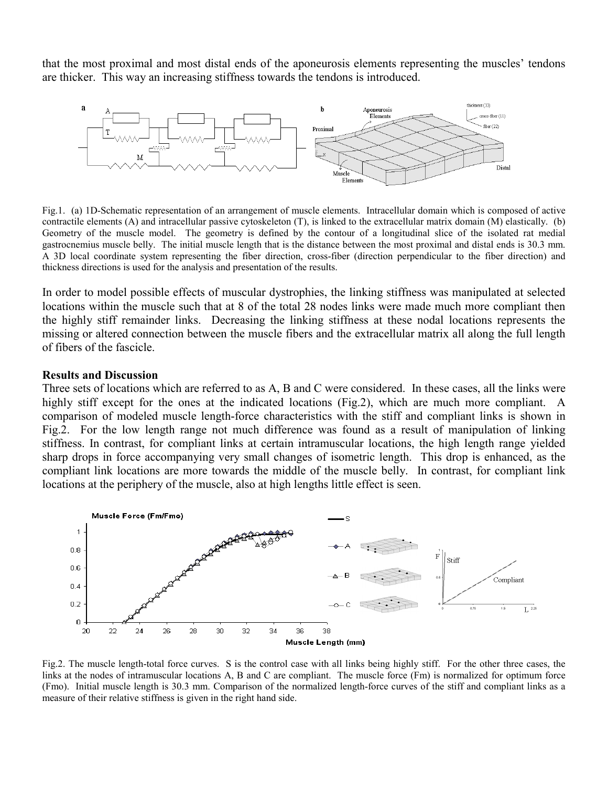that the most proximal and most distal ends of the aponeurosis elements representing the muscles' tendons are thicker. This way an increasing stiffness towards the tendons is introduced.



Fig.1. (a) 1D-Schematic representation of an arrangement of muscle elements. Intracellular domain which is composed of active contractile elements (A) and intracellular passive cytoskeleton (T), is linked to the extracellular matrix domain (M) elastically. (b) Geometry of the muscle model. The geometry is defined by the contour of a longitudinal slice of the isolated rat medial gastrocnemius muscle belly. The initial muscle length that is the distance between the most proximal and distal ends is 30.3 mm. A 3D local coordinate system representing the fiber direction, cross-fiber (direction perpendicular to the fiber direction) and thickness directions is used for the analysis and presentation of the results.

In order to model possible effects of muscular dystrophies, the linking stiffness was manipulated at selected locations within the muscle such that at 8 of the total 28 nodes links were made much more compliant then the highly stiff remainder links. Decreasing the linking stiffness at these nodal locations represents the missing or altered connection between the muscle fibers and the extracellular matrix all along the full length of fibers of the fascicle.

#### **Results and Discussion**

Three sets of locations which are referred to as A, B and C were considered. In these cases, all the links were highly stiff except for the ones at the indicated locations (Fig.2), which are much more compliant. A comparison of modeled muscle length-force characteristics with the stiff and compliant links is shown in Fig.2. For the low length range not much difference was found as a result of manipulation of linking stiffness. In contrast, for compliant links at certain intramuscular locations, the high length range yielded sharp drops in force accompanying very small changes of isometric length. This drop is enhanced, as the compliant link locations are more towards the middle of the muscle belly. In contrast, for compliant link locations at the periphery of the muscle, also at high lengths little effect is seen.



Fig.2. The muscle length-total force curves. S is the control case with all links being highly stiff. For the other three cases, the links at the nodes of intramuscular locations A, B and C are compliant. The muscle force (Fm) is normalized for optimum force (Fmo). Initial muscle length is 30.3 mm. Comparison of the normalized length-force curves of the stiff and compliant links as a measure of their relative stiffness is given in the right hand side.